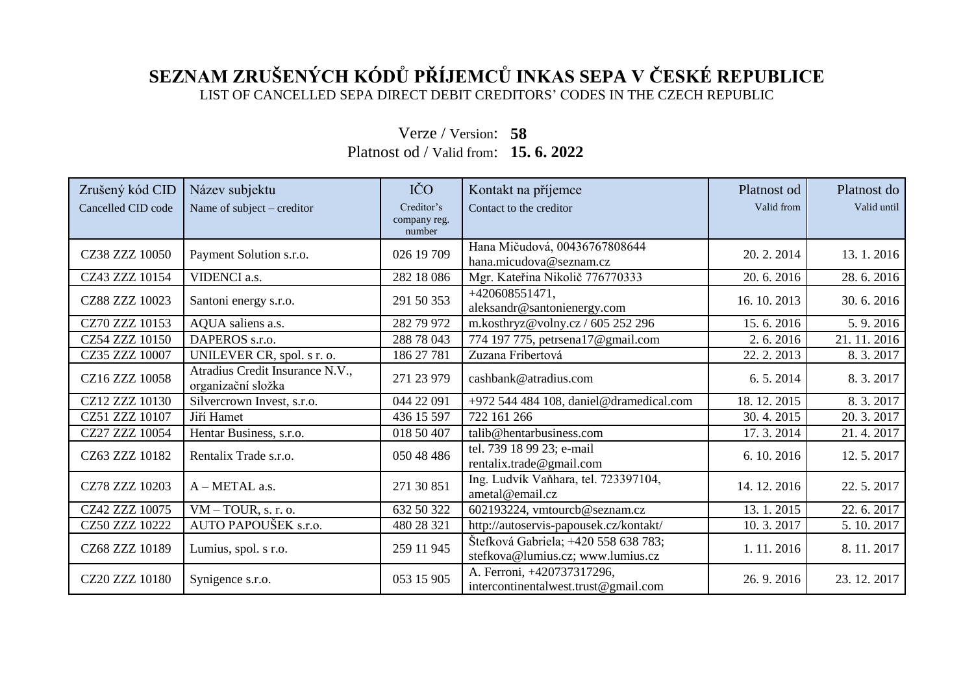## **SEZNAM ZRUŠENÝCH KÓDŮ PŘÍJEMCŮ INKAS SEPA V ČESKÉ REPUBLICE** LIST OF CANCELLED SEPA DIRECT DEBIT CREDITORS' CODES IN THE CZECH REPUBLIC

| Zrušený kód CID    | Název subjektu                                        | IČO          | Kontakt na příjemce                                                       | Platnost od | Platnost do |
|--------------------|-------------------------------------------------------|--------------|---------------------------------------------------------------------------|-------------|-------------|
| Cancelled CID code | Name of subject $-$ creditor                          | Creditor's   | Contact to the creditor                                                   | Valid from  | Valid until |
|                    |                                                       | company reg. |                                                                           |             |             |
|                    |                                                       | number       |                                                                           |             |             |
| CZ38 ZZZ 10050     | Payment Solution s.r.o.                               | 026 19 709   | Hana Mičudová, 00436767808644<br>hana.micudova@seznam.cz                  | 20.2.2014   | 13.1.2016   |
| CZ43 ZZZ 10154     | VIDENCI a.s.                                          | 282 18 086   | Mgr. Kateřina Nikolič 776770333                                           | 20.6.2016   | 28.6.2016   |
| CZ88 ZZZ 10023     | Santoni energy s.r.o.                                 | 291 50 353   | $+420608551471,$<br>aleksandr@santonienergy.com                           | 16.10.2013  | 30.6.2016   |
| CZ70 ZZZ 10153     | AQUA saliens a.s.                                     | 282 79 972   | m.kosthryz@volny.cz / 605 252 296                                         | 15.6.2016   | 5.9.2016    |
| CZ54 ZZZ 10150     | DAPEROS s.r.o.                                        | 288 78 043   | 774 197 775, petrsena17@gmail.com                                         | 2.6.2016    | 21.11.2016  |
| CZ35 ZZZ 10007     | UNILEVER CR, spol. s r. o.                            | 186 27 781   | Zuzana Fribertová                                                         | 22. 2. 2013 | 8.3.2017    |
| CZ16 ZZZ 10058     | Atradius Credit Insurance N.V.,<br>organizační složka | 271 23 979   | cashbank@atradius.com                                                     | 6.5.2014    | 8.3.2017    |
| CZ12 ZZZ 10130     | Silvercrown Invest, s.r.o.                            | 044 22 091   | +972 544 484 108, daniel@dramedical.com                                   | 18.12.2015  | 8.3.2017    |
| CZ51 ZZZ 10107     | Jiří Hamet                                            | 436 15 597   | 722 161 266                                                               | 30.4.2015   | 20.3.2017   |
| CZ27 ZZZ 10054     | Hentar Business, s.r.o.                               | 018 50 407   | talib@hentarbusiness.com                                                  | 17.3.2014   | 21.4.2017   |
| CZ63 ZZZ 10182     | Rentalix Trade s.r.o.                                 | 050 48 486   | tel. 739 18 99 23; e-mail<br>rentalix.trade@gmail.com                     | 6.10.2016   | 12.5.2017   |
| CZ78 ZZZ 10203     | A - METAL a.s.                                        | 271 30 851   | Ing. Ludvík Vaňhara, tel. 723397104,<br>ametal@email.cz                   | 14.12.2016  | 22.5.2017   |
| CZ42 ZZZ 10075     | $VM - TOUR$ , s. r. o.                                | 632 50 322   | 602193224, vmtourcb@seznam.cz                                             | 13.1.2015   | 22.6.2017   |
| CZ50 ZZZ 10222     | AUTO PAPOUŠEK s.r.o.                                  | 480 28 321   | http://autoservis-papousek.cz/kontakt/                                    | 10.3.2017   | 5.10.2017   |
| CZ68 ZZZ 10189     | Lumius, spol. s r.o.                                  | 259 11 945   | Štefková Gabriela; +420 558 638 783;<br>stefkova@lumius.cz; www.lumius.cz | 1.11.2016   | 8.11.2017   |
| CZ20 ZZZ 10180     | Synigence s.r.o.                                      | 053 15 905   | A. Ferroni, +420737317296,<br>intercontinentalwest.trust@gmail.com        | 26.9.2016   | 23.12.2017  |

## Verze / Version: **58** Platnost od / Valid from: **15. 6. 2022**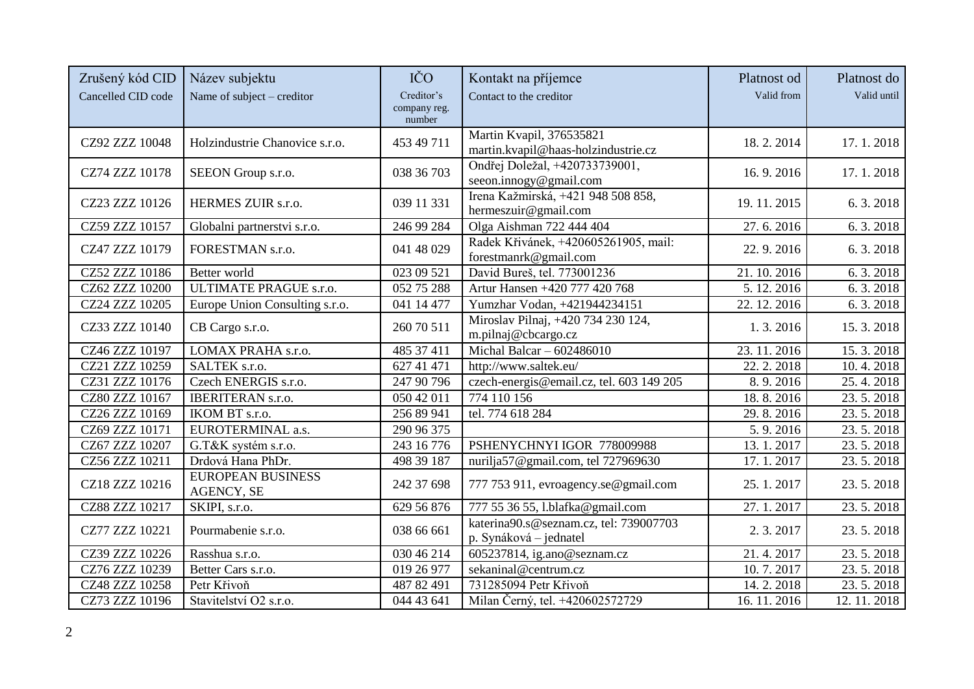| Zrušený kód CID<br>Cancelled CID code | Název subjektu<br>Name of subject – creditor | IČO<br>Creditor's<br>company reg. | Kontakt na příjemce<br>Contact to the creditor                   | Platnost od<br>Valid from | Platnost do<br>Valid until |
|---------------------------------------|----------------------------------------------|-----------------------------------|------------------------------------------------------------------|---------------------------|----------------------------|
|                                       |                                              | number                            | Martin Kvapil, 376535821                                         |                           |                            |
| CZ92 ZZZ 10048                        | Holzindustrie Chanovice s.r.o.               | 453 49 711                        | martin.kvapil@haas-holzindustrie.cz                              | 18.2.2014                 | 17.1.2018                  |
| CZ74 ZZZ 10178                        | SEEON Group s.r.o.                           | 038 36 703                        | Ondřej Doležal, +420733739001,<br>seeon.innogy@gmail.com         | 16.9.2016                 | 17.1.2018                  |
| CZ23 ZZZ 10126                        | HERMES ZUIR s.r.o.                           | 039 11 331                        | Irena Kažmirská, +421 948 508 858,<br>hermeszuir@gmail.com       | 19.11.2015                | 6.3.2018                   |
| CZ59 ZZZ 10157                        | Globalni partnerstvi s.r.o.                  | 246 99 284                        | Olga Aishman 722 444 404                                         | 27.6.2016                 | 6.3.2018                   |
| CZ47 ZZZ 10179                        | FORESTMAN s.r.o.                             | 041 48 029                        | Radek Křivánek, +420605261905, mail:<br>forestmanrk@gmail.com    | 22.9.2016                 | 6.3.2018                   |
| CZ52 ZZZ 10186                        | Better world                                 | 023 09 521                        | David Bureš, tel. 773001236                                      | 21.10.2016                | 6.3.2018                   |
| CZ62 ZZZ 10200                        | <b>ULTIMATE PRAGUE s.r.o.</b>                | $\overline{052\ 75\ 288}$         | Artur Hansen +420 777 420 768                                    | 5.12.2016                 | 6.3.2018                   |
| CZ24 ZZZ 10205                        | Europe Union Consulting s.r.o.               | 041 14 477                        | Yumzhar Vodan, +421944234151                                     | 22. 12. 2016              | 6.3.2018                   |
| CZ33 ZZZ 10140                        | CB Cargo s.r.o.                              | 260 70 511                        | Miroslav Pilnaj, +420 734 230 124,<br>m.pilnaj@cbcargo.cz        | 1.3.2016                  | 15.3.2018                  |
| CZ46 ZZZ 10197                        | LOMAX PRAHA s.r.o.                           | 485 37 411                        | Michal Balcar $-602486010$                                       | 23.11.2016                | 15.3.2018                  |
| CZ21 ZZZ 10259                        | SALTEK s.r.o.                                | 627 41 471                        | http://www.saltek.eu/                                            | 22. 2. 2018               | 10.4.2018                  |
| CZ31 ZZZ 10176                        | Czech ENERGIS s.r.o.                         | 247 90 796                        | czech-energis@email.cz, tel. 603 149 205                         | 8.9.2016                  | 25.4.2018                  |
| CZ80 ZZZ 10167                        | <b>IBERITERAN s.r.o.</b>                     | 050 42 011                        | 774 110 156                                                      | 18.8.2016                 | 23.5.2018                  |
| CZ26 ZZZ 10169                        | IKOM BT s.r.o.                               | 256 89 941                        | tel. 774 618 284                                                 | 29.8.2016                 | 23.5.2018                  |
| CZ69 ZZZ 10171                        | EUROTERMINAL a.s.                            | 290 96 375                        |                                                                  | 5.9.2016                  | 23.5.2018                  |
| CZ67 ZZZ 10207                        | G.T&K systém s.r.o.                          | 243 16 776                        | PSHENYCHNYI IGOR 778009988                                       | 13.1.2017                 | 23.5.2018                  |
| CZ56 ZZZ 10211                        | Drdová Hana PhDr.                            | 498 39 187                        | nurilja57@gmail.com, tel 727969630                               | 17.1.2017                 | 23.5.2018                  |
| CZ18 ZZZ 10216                        | <b>EUROPEAN BUSINESS</b><br>AGENCY, SE       | 242 37 698                        | 777 753 911, evroagency.se@gmail.com                             | 25.1.2017                 | 23.5.2018                  |
| CZ88 ZZZ 10217                        | SKIPI, s.r.o.                                | 629 56 876                        | 777 55 36 55, l.blafka@gmail.com                                 | 27.1.2017                 | 23.5.2018                  |
| CZ77 ZZZ 10221                        | Pourmabenie s.r.o.                           | 038 66 661                        | katerina90.s@seznam.cz, tel: 739007703<br>p. Synáková – jednatel | 2.3.2017                  | 23.5.2018                  |
| CZ39 ZZZ 10226                        | Rasshua s.r.o.                               | 030 46 214                        | 605237814, ig.ano@seznam.cz                                      | 21.4.2017                 | 23.5.2018                  |
| CZ76 ZZZ 10239                        | Better Cars s.r.o.                           | 019 26 977                        | sekaninal@centrum.cz                                             | 10.7.2017                 | 23.5.2018                  |
| CZ48 ZZZ 10258                        | Petr Křivoň                                  | 487 82 491                        | 731285094 Petr Křivoň                                            | 14.2.2018                 | 23.5.2018                  |
| CZ73 ZZZ 10196                        | Stavitelství O2 s.r.o.                       | 044 43 641                        | Milan Černý, tel. +420602572729                                  | 16.11.2016                | 12.11.2018                 |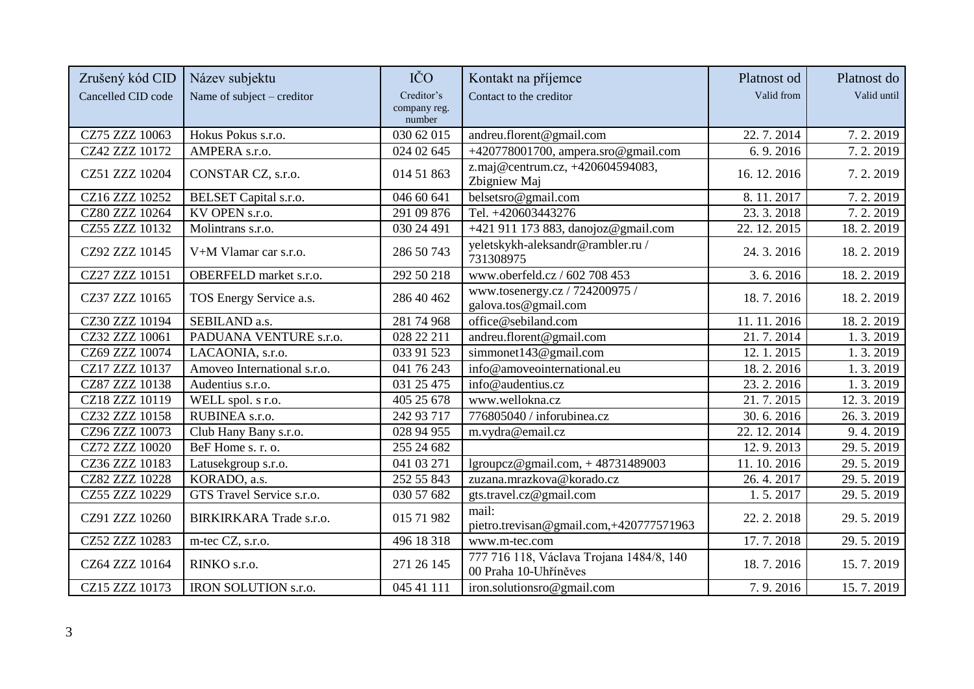| Zrušený kód CID    | Název subjektu                 | IČO                                  | Kontakt na příjemce                                               | Platnost od               | Platnost do |
|--------------------|--------------------------------|--------------------------------------|-------------------------------------------------------------------|---------------------------|-------------|
| Cancelled CID code | Name of subject – creditor     | Creditor's<br>company reg.<br>number | Contact to the creditor                                           | Valid from                | Valid until |
| CZ75 ZZZ 10063     | Hokus Pokus s.r.o.             | 030 62 015                           | andreu.florent@gmail.com                                          | 22.7.2014                 | 7.2.2019    |
| CZ42 ZZZ 10172     | AMPERA s.r.o.                  | 024 02 645                           | +420778001700, ampera.sro@gmail.com                               | 6.9.2016                  | 7.2.2019    |
| CZ51 ZZZ 10204     | CONSTAR CZ, s.r.o.             | 014 51 863                           | z.maj@centrum.cz, +420604594083,<br>Zbigniew Maj                  | 16.12.2016                | 7.2.2019    |
| CZ16 ZZZ 10252     | <b>BELSET</b> Capital s.r.o.   | 046 60 641                           | belsetsro@gmail.com                                               | 8.11.2017                 | 7.2.2019    |
| CZ80 ZZZ 10264     | KV OPEN s.r.o.                 | 291 09 876                           | Tel. +420603443276                                                | $\overline{23}$ . 3. 2018 | 7.2.2019    |
| CZ55 ZZZ 10132     | Molintrans s.r.o.              | 030 24 491                           | +421 911 173 883, danojoz@gmail.com                               | 22. 12. 2015              | 18.2.2019   |
| CZ92 ZZZ 10145     | V+M Vlamar car s.r.o.          | 286 50 743                           | yeletskykh-aleksandr@rambler.ru/<br>731308975                     | 24.3.2016                 | 18.2.2019   |
| CZ27 ZZZ 10151     | OBERFELD market s.r.o.         | 292 50 218                           | www.oberfeld.cz / 602 708 453                                     | 3.6.2016                  | 18.2.2019   |
| CZ37 ZZZ 10165     | TOS Energy Service a.s.        | 286 40 462                           | www.tosenergy.cz / 724200975 /<br>galova.tos@gmail.com            | 18.7.2016                 | 18.2.2019   |
| CZ30 ZZZ 10194     | SEBILAND a.s.                  | 281 74 968                           | office@sebiland.com                                               | 11.11.2016                | 18.2.2019   |
| CZ32 ZZZ 10061     | PADUANA VENTURE s.r.o.         | 028 22 211                           | andreu.florent@gmail.com                                          | 21.7.2014                 | 1.3.2019    |
| CZ69 ZZZ 10074     | LACAONIA, s.r.o.               | 033 91 523                           | simmonet143@gmail.com                                             | 12.1.2015                 | 1.3.2019    |
| CZ17 ZZZ 10137     | Amoveo International s.r.o.    | 041 76 243                           | info@amoveointernational.eu                                       | 18.2.2016                 | 1.3.2019    |
| CZ87 ZZZ 10138     | Audentius s.r.o.               | 031 25 475                           | info@audentius.cz                                                 | 23.2.2016                 | 1.3.2019    |
| CZ18 ZZZ 10119     | WELL spol. s r.o.              | 405 25 678                           | www.wellokna.cz                                                   | 21.7.2015                 | 12.3.2019   |
| CZ32 ZZZ 10158     | RUBINEA s.r.o.                 | 242 93 717                           | 776805040 / inforubinea.cz                                        | 30.6.2016                 | 26.3.2019   |
| CZ96 ZZZ 10073     | Club Hany Bany s.r.o.          | 028 94 955                           | m.vydra@email.cz                                                  | 22.12.2014                | 9.4.2019    |
| CZ72 ZZZ 10020     | BeF Home s. r. o.              | 255 24 682                           |                                                                   | 12.9.2013                 | 29.5.2019   |
| CZ36 ZZZ 10183     | Latusekgroup s.r.o.            | 041 03 271                           | lgroupcz@gmail.com, $+48731489003$                                | 11.10.2016                | 29.5.2019   |
| CZ82 ZZZ 10228     | KORADO, a.s.                   | 252 55 843                           | zuzana.mrazkova@korado.cz                                         | 26.4.2017                 | 29.5.2019   |
| CZ55 ZZZ 10229     | GTS Travel Service s.r.o.      | 030 57 682                           | gts.travel.cz@gmail.com                                           | 1.5.2017                  | 29.5.2019   |
| CZ91 ZZZ 10260     | <b>BIRKIRKARA Trade s.r.o.</b> | 015 71 982                           | mail:<br>pietro.trevisan@gmail.com,+420777571963                  | 22.2.2018                 | 29.5.2019   |
| CZ52 ZZZ 10283     | m-tec CZ, s.r.o.               | 496 18 318                           | www.m-tec.com                                                     | 17.7.2018                 | 29.5.2019   |
| CZ64 ZZZ 10164     | RINKO s.r.o.                   | 271 26 145                           | 777 716 118, Václava Trojana 1484/8, 140<br>00 Praha 10-Uhříněves | 18.7.2016                 | 15.7.2019   |
| CZ15 ZZZ 10173     | IRON SOLUTION s.r.o.           | $\overline{045}$ 41 111              | iron.solutionsro@gmail.com                                        | 7.9.2016                  | 15.7.2019   |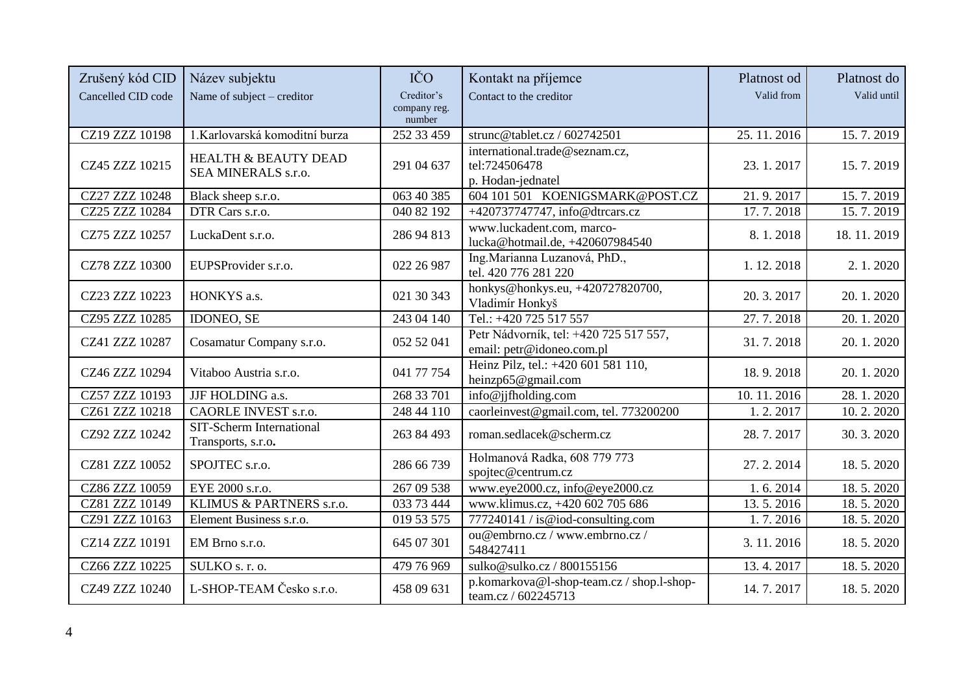| Zrušený kód CID<br>Cancelled CID code | Název subjektu<br>Name of subject - creditor           | IČO<br>Creditor's<br>company reg. | Kontakt na příjemce<br>Contact to the creditor                       | Platnost od<br>Valid from | Platnost do<br>Valid until |
|---------------------------------------|--------------------------------------------------------|-----------------------------------|----------------------------------------------------------------------|---------------------------|----------------------------|
| CZ19 ZZZ 10198                        | 1.Karlovarská komoditní burza                          | number<br>252 33 459              | strunc@tablet.cz / 602742501                                         | 25.11.2016                | 15.7.2019                  |
| CZ45 ZZZ 10215                        | <b>HEALTH &amp; BEAUTY DEAD</b><br>SEA MINERALS s.r.o. | 291 04 637                        | international.trade@seznam.cz,<br>tel:724506478<br>p. Hodan-jednatel | 23.1.2017                 | 15.7.2019                  |
| CZ27 ZZZ 10248                        | Black sheep s.r.o.                                     | 063 40 385                        | 604 101 501 KOENIGSMARK@POST.CZ                                      | 21.9.2017                 | 15.7.2019                  |
| CZ25 ZZZ 10284                        | DTR Cars s.r.o.                                        | 040 82 192                        | +420737747747, info@dtrcars.cz                                       | 17.7.2018                 | 15.7.2019                  |
| CZ75 ZZZ 10257                        | LuckaDent s.r.o.                                       | 286 94 813                        | www.luckadent.com, marco-<br>lucka@hotmail.de, +420607984540         | 8.1.2018                  | 18.11.2019                 |
| CZ78 ZZZ 10300                        | EUPSProvider s.r.o.                                    | 022 26 987                        | Ing. Marianna Luzanová, PhD.,<br>tel. 420 776 281 220                | 1.12.2018                 | 2. 1. 2020                 |
| CZ23 ZZZ 10223                        | HONKYS a.s.                                            | 021 30 343                        | honkys@honkys.eu, +420727820700,<br>Vladimír Honkyš                  | 20.3.2017                 | 20.1.2020                  |
| CZ95 ZZZ 10285                        | <b>IDONEO, SE</b>                                      | 243 04 140                        | Tel.: +420 725 517 557                                               | 27.7.2018                 | 20.1.2020                  |
| CZ41 ZZZ 10287                        | Cosamatur Company s.r.o.                               | 052 52 041                        | Petr Nádvorník, tel: +420 725 517 557,<br>email: petr@idoneo.com.pl  | 31.7.2018                 | 20.1.2020                  |
| CZ46 ZZZ 10294                        | Vitaboo Austria s.r.o.                                 | 041 77 754                        | Heinz Pilz, tel.: +420 601 581 110,<br>heinzp65@gmail.com            | 18.9.2018                 | 20.1.2020                  |
| CZ57 ZZZ 10193                        | JJF HOLDING a.s.                                       | 268 33 701                        | info@jjfholding.com                                                  | 10.11.2016                | 28.1.2020                  |
| CZ61 ZZZ 10218                        | CAORLE INVEST s.r.o.                                   | 248 44 110                        | caorleinvest@gmail.com, tel. 773200200                               | 1.2.2017                  | 10.2.2020                  |
| CZ92 ZZZ 10242                        | SIT-Scherm International<br>Transports, s.r.o.         | 263 84 493                        | roman.sedlacek@scherm.cz                                             | 28.7.2017                 | 30.3.2020                  |
| CZ81 ZZZ 10052                        | SPOJTEC s.r.o.                                         | 286 66 739                        | Holmanová Radka, 608 779 773<br>spojtec@centrum.cz                   | 27.2.2014                 | 18.5.2020                  |
| CZ86 ZZZ 10059                        | EYE 2000 s.r.o.                                        | 267 09 538                        | www.eye2000.cz, info@eye2000.cz                                      | 1.6.2014                  | 18.5.2020                  |
| CZ81 ZZZ 10149                        | KLIMUS & PARTNERS s.r.o.                               | 033 73 444                        | www.klimus.cz, +420 602 705 686                                      | 13.5.2016                 | 18.5.2020                  |
| CZ91 ZZZ 10163                        | Element Business s.r.o.                                | 019 53 575                        | 777240141 / is@iod-consulting.com                                    | 1.7.2016                  | 18.5.2020                  |
| CZ14 ZZZ 10191                        | EM Brno s.r.o.                                         | 645 07 301                        | ou@embrno.cz / www.embrno.cz /<br>548427411                          | 3.11.2016                 | 18.5.2020                  |
| CZ66 ZZZ 10225                        | SULKO s. r. o.                                         | 479 76 969                        | sulko@sulko.cz/800155156                                             | 13.4.2017                 | 18.5.2020                  |
| CZ49 ZZZ 10240                        | L-SHOP-TEAM Česko s.r.o.                               | 458 09 631                        | p.komarkova@l-shop-team.cz / shop.l-shop-<br>team.cz / 602245713     | 14.7.2017                 | 18.5.2020                  |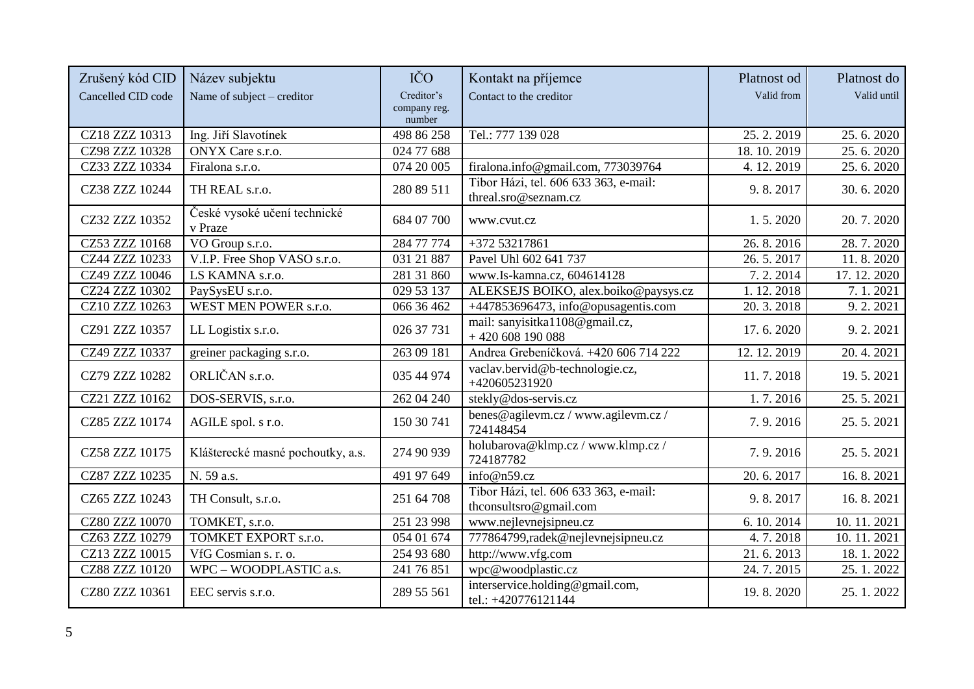| Zrušený kód CID    | Název subjektu                          | IČO                    | Kontakt na příjemce                                             | Platnost od | Platnost do               |
|--------------------|-----------------------------------------|------------------------|-----------------------------------------------------------------|-------------|---------------------------|
| Cancelled CID code | Name of subject – creditor              | Creditor's             | Contact to the creditor                                         | Valid from  | Valid until               |
|                    |                                         | company reg.<br>number |                                                                 |             |                           |
| CZ18 ZZZ 10313     | Ing. Jiří Slavotínek                    | 498 86 258             | Tel.: 777 139 028                                               | 25.2.2019   | $\overline{25}$ . 6. 2020 |
| CZ98 ZZZ 10328     | <b>ONYX</b> Care s.r.o.                 | 024 77 688             |                                                                 | 18.10.2019  | 25.6.2020                 |
| CZ33 ZZZ 10334     | Firalona s.r.o.                         | 074 20 005             | firalona.info@gmail.com, 773039764                              | 4.12.2019   | $\overline{2}$ 5. 6. 2020 |
| CZ38 ZZZ 10244     | TH REAL s.r.o.                          | 280 89 511             | Tibor Házi, tel. 606 633 363, e-mail:<br>threal.sro@seznam.cz   | 9.8.2017    | 30.6.2020                 |
| CZ32 ZZZ 10352     | České vysoké učení technické<br>v Praze | 684 07 700             | www.cvut.cz                                                     | 1.5.2020    | 20.7.2020                 |
| CZ53 ZZZ 10168     | VO Group s.r.o.                         | 284 77 774             | +372 53217861                                                   | 26.8.2016   | 28.7.2020                 |
| CZ44 ZZZ 10233     | V.I.P. Free Shop VASO s.r.o.            | 031 21 887             | Pavel Uhl 602 641 737                                           | 26.5.2017   | 11.8.2020                 |
| CZ49 ZZZ 10046     | LS KAMNA s.r.o.                         | 281 31 860             | www.Is-kamna.cz, 604614128                                      | 7.2.2014    | 17.12.2020                |
| CZ24 ZZZ 10302     | PaySysEU s.r.o.                         | 029 53 137             | ALEKSEJS BOIKO, alex.boiko@paysys.cz                            | 1.12.2018   | 7.1.2021                  |
| CZ10 ZZZ 10263     | WEST MEN POWER s.r.o.                   | 066 36 462             | +447853696473, info@opusagentis.com                             | 20.3.2018   | 9.2.2021                  |
| CZ91 ZZZ 10357     | LL Logistix s.r.o.                      | 026 37 731             | mail: sanyisitka1108@gmail.cz,<br>$+420608190088$               | 17.6.2020   | 9.2.2021                  |
| CZ49 ZZZ 10337     | greiner packaging s.r.o.                | 263 09 181             | Andrea Grebeníčková. +420 606 714 222                           | 12.12.2019  | 20.4.2021                 |
| CZ79 ZZZ 10282     | ORLIČAN s.r.o.                          | 035 44 974             | vaclav.bervid@b-technologie.cz,<br>+420605231920                | 11.7.2018   | 19.5.2021                 |
| CZ21 ZZZ 10162     | DOS-SERVIS, s.r.o.                      | 262 04 240             | stekly@dos-servis.cz                                            | 1.7.2016    | 25.5.2021                 |
| CZ85 ZZZ 10174     | AGILE spol. s r.o.                      | 150 30 741             | benes@agilevm.cz/www.agilevm.cz/<br>724148454                   | 7.9.2016    | 25.5.2021                 |
| CZ58 ZZZ 10175     | Klášterecké masné pochoutky, a.s.       | 274 90 939             | holubarova@klmp.cz / www.klmp.cz /<br>724187782                 | 7.9.2016    | 25.5.2021                 |
| CZ87 ZZZ 10235     | N. 59 a.s.                              | 491 97 649             | info@n59.cz                                                     | 20.6.2017   | 16.8.2021                 |
| CZ65 ZZZ 10243     | TH Consult, s.r.o.                      | 251 64 708             | Tibor Házi, tel. 606 633 363, e-mail:<br>thconsultsro@gmail.com | 9.8.2017    | 16.8.2021                 |
| CZ80 ZZZ 10070     | TOMKET, s.r.o.                          | 251 23 998             | www.nejlevnejsipneu.cz                                          | 6.10.2014   | 10.11.2021                |
| CZ63 ZZZ 10279     | TOMKET EXPORT s.r.o.                    | 054 01 674             | 777864799, radek@nejlevnejsipneu.cz                             | 4.7.2018    | 10.11.2021                |
| CZ13 ZZZ 10015     | VfG Cosmian s. r. o.                    | 254 93 680             | http://www.vfg.com                                              | 21.6.2013   | 18.1.2022                 |
| CZ88 ZZZ 10120     | WPC - WOODPLASTIC a.s.                  | 241 76 851             | wpc@woodplastic.cz                                              | 24.7.2015   | 25.1.2022                 |
| CZ80 ZZZ 10361     | EEC servis s.r.o.                       | 289 55 561             | interservice.holding@gmail.com,<br>tel.: +420776121144          | 19.8.2020   | 25.1.2022                 |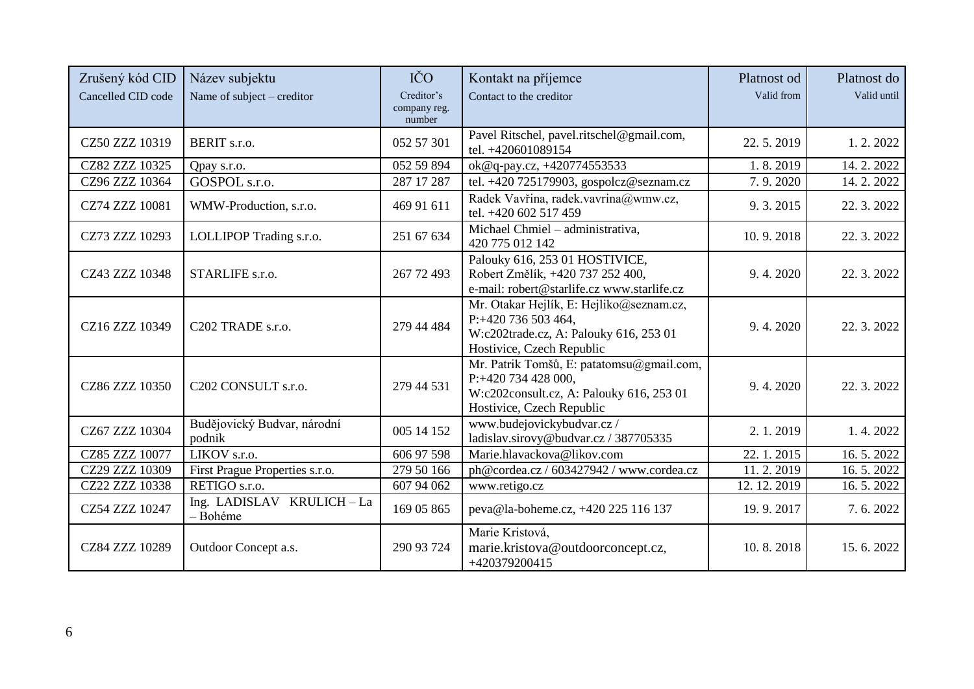| Zrušený kód CID<br>Cancelled CID code | Název subjektu<br>Name of subject – creditor | IČO<br>Creditor's<br>company reg. | Kontakt na příjemce<br>Contact to the creditor                                                                                            | Platnost od<br>Valid from | Platnost do<br>Valid until |
|---------------------------------------|----------------------------------------------|-----------------------------------|-------------------------------------------------------------------------------------------------------------------------------------------|---------------------------|----------------------------|
|                                       |                                              | number                            |                                                                                                                                           |                           |                            |
| CZ50 ZZZ 10319                        | BERIT s.r.o.                                 | 052 57 301                        | Pavel Ritschel, pavel.ritschel@gmail.com,<br>tel. +420601089154                                                                           | 22.5.2019                 | 1.2.2022                   |
| CZ82 ZZZ 10325                        | Qpay s.r.o.                                  | 052 59 894                        | ok@q-pay.cz, +420774553533                                                                                                                | 1.8.2019                  | 14.2.2022                  |
| CZ96 ZZZ 10364                        | GOSPOL s.r.o.                                | 287 17 287                        | tel. +420 725179903, gospolcz@seznam.cz                                                                                                   | 7.9.2020                  | 14.2.2022                  |
| CZ74 ZZZ 10081                        | WMW-Production, s.r.o.                       | 469 91 611                        | Radek Vavřina, radek.vavrina@wmw.cz,<br>tel. +420 602 517 459                                                                             | 9.3.2015                  | 22.3.2022                  |
| CZ73 ZZZ 10293                        | LOLLIPOP Trading s.r.o.                      | 251 67 634                        | Michael Chmiel - administrativa,<br>420 775 012 142                                                                                       | 10.9.2018                 | 22. 3. 2022                |
| CZ43 ZZZ 10348                        | STARLIFE s.r.o.                              | 267 72 493                        | Palouky 616, 253 01 HOSTIVICE,<br>Robert Změlík, +420 737 252 400,<br>e-mail: robert@starlife.cz www.starlife.cz                          | 9.4.2020                  | 22.3.2022                  |
| CZ16 ZZZ 10349                        | C202 TRADE s.r.o.                            | 279 44 484                        | Mr. Otakar Hejlík, E: Hejliko@seznam.cz,<br>P:+420 736 503 464,<br>W:c202trade.cz, A: Palouky 616, 253 01<br>Hostivice, Czech Republic    | 9.4.2020                  | 22. 3. 2022                |
| CZ86 ZZZ 10350                        | C202 CONSULT s.r.o.                          | 279 44 531                        | Mr. Patrik Tomšů, E: patatomsu@gmail.com,<br>P:+420 734 428 000,<br>W:c202consult.cz, A: Palouky 616, 253 01<br>Hostivice, Czech Republic | 9.4.2020                  | 22. 3. 2022                |
| CZ67 ZZZ 10304                        | Budějovický Budvar, národní<br>podnik        | 005 14 152                        | www.budejovickybudvar.cz/<br>ladislav.sirovy@budvar.cz / 387705335                                                                        | 2.1.2019                  | 1.4.2022                   |
| CZ85 ZZZ 10077                        | LIKOV s.r.o.                                 | 606 97 598                        | Marie.hlavackova@likov.com                                                                                                                | 22.1.2015                 | 16.5.2022                  |
| CZ29 ZZZ 10309                        | First Prague Properties s.r.o.               | 279 50 166                        | ph@cordea.cz / 603427942 / www.cordea.cz                                                                                                  | 11.2.2019                 | 16.5.2022                  |
| CZ22 ZZZ 10338                        | RETIGO s.r.o.                                | 607 94 062                        | www.retigo.cz                                                                                                                             | 12.12.2019                | 16.5.2022                  |
| CZ54 ZZZ 10247                        | Ing. LADISLAV KRULICH-La<br>- Bohéme         | 169 05 865                        | peva@la-boheme.cz, +420 225 116 137                                                                                                       | 19.9.2017                 | 7.6.2022                   |
| CZ84 ZZZ 10289                        | Outdoor Concept a.s.                         | 290 93 724                        | Marie Kristová,<br>marie.kristova@outdoorconcept.cz,<br>+420379200415                                                                     | 10.8.2018                 | 15.6.2022                  |